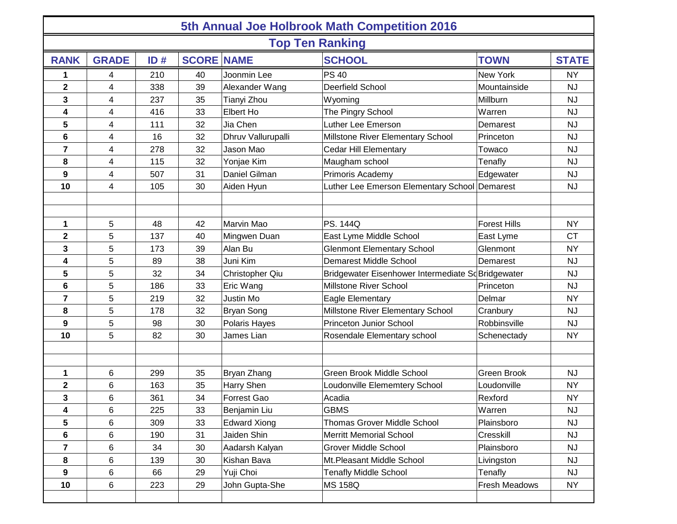| 5th Annual Joe Holbrook Math Competition 2016 |              |     |    |                     |                                                    |                     |              |  |  |  |  |  |
|-----------------------------------------------|--------------|-----|----|---------------------|----------------------------------------------------|---------------------|--------------|--|--|--|--|--|
| <b>Top Ten Ranking</b>                        |              |     |    |                     |                                                    |                     |              |  |  |  |  |  |
| <b>RANK</b>                                   | <b>GRADE</b> | ID# |    | <b>SCORE NAME</b>   | <b>SCHOOL</b>                                      | <b>TOWN</b>         | <b>STATE</b> |  |  |  |  |  |
| 1                                             | 4            | 210 | 40 | Joonmin Lee         | <b>PS 40</b>                                       | New York            | <b>NY</b>    |  |  |  |  |  |
| $\mathbf 2$                                   | 4            | 338 | 39 | Alexander Wang      | Deerfield School                                   | Mountainside        | <b>NJ</b>    |  |  |  |  |  |
| 3                                             | 4            | 237 | 35 | Tianyi Zhou         | Wyoming                                            | Millburn            | <b>NJ</b>    |  |  |  |  |  |
| $\overline{\mathbf{4}}$                       | 4            | 416 | 33 | Elbert Ho           | The Pingry School                                  | Warren              | <b>NJ</b>    |  |  |  |  |  |
| 5                                             | 4            | 111 | 32 | Jia Chen            | Luther Lee Emerson                                 | Demarest            | <b>NJ</b>    |  |  |  |  |  |
| 6                                             | 4            | 16  | 32 | Dhruv Vallurupalli  | Millstone River Elementary School                  | Princeton           | <b>NJ</b>    |  |  |  |  |  |
| 7                                             | 4            | 278 | 32 | Jason Mao           | <b>Cedar Hill Elementary</b>                       | Towaco              | <b>NJ</b>    |  |  |  |  |  |
| 8                                             | 4            | 115 | 32 | Yonjae Kim          | Maugham school                                     | Tenafly             | <b>NJ</b>    |  |  |  |  |  |
| 9                                             | 4            | 507 | 31 | Daniel Gilman       | Primoris Academy                                   | Edgewater           | <b>NJ</b>    |  |  |  |  |  |
| 10                                            | 4            | 105 | 30 | Aiden Hyun          | Luther Lee Emerson Elementary School Demarest      |                     | <b>NJ</b>    |  |  |  |  |  |
|                                               |              |     |    |                     |                                                    |                     |              |  |  |  |  |  |
|                                               |              |     |    |                     |                                                    |                     |              |  |  |  |  |  |
| $\mathbf 1$                                   | 5            | 48  | 42 | Marvin Mao          | <b>PS. 144Q</b>                                    | <b>Forest Hills</b> | <b>NY</b>    |  |  |  |  |  |
| $\mathbf 2$                                   | 5            | 137 | 40 | Mingwen Duan        | East Lyme Middle School                            | East Lyme           | <b>CT</b>    |  |  |  |  |  |
| 3                                             | 5            | 173 | 39 | Alan Bu             | <b>Glenmont Elementary School</b>                  | Glenmont            | <b>NY</b>    |  |  |  |  |  |
| 4                                             | 5            | 89  | 38 | Juni Kim            | <b>Demarest Middle School</b>                      | Demarest            | <b>NJ</b>    |  |  |  |  |  |
| 5                                             | 5            | 32  | 34 | Christopher Qiu     | Bridgewater Eisenhower Intermediate Sc Bridgewater |                     | <b>NJ</b>    |  |  |  |  |  |
| 6                                             | 5            | 186 | 33 | Eric Wang           | Millstone River School                             | Princeton           | <b>NJ</b>    |  |  |  |  |  |
| $\overline{7}$                                | 5            | 219 | 32 | Justin Mo           | Eagle Elementary                                   | Delmar              | <b>NY</b>    |  |  |  |  |  |
| 8                                             | 5            | 178 | 32 | <b>Bryan Song</b>   | Millstone River Elementary School                  | Cranbury            | <b>NJ</b>    |  |  |  |  |  |
| 9                                             | 5            | 98  | 30 | Polaris Hayes       | <b>Princeton Junior School</b>                     | Robbinsville        | <b>NJ</b>    |  |  |  |  |  |
| 10                                            | 5            | 82  | 30 | James Lian          | Rosendale Elementary school                        | Schenectady         | <b>NY</b>    |  |  |  |  |  |
|                                               |              |     |    |                     |                                                    |                     |              |  |  |  |  |  |
|                                               |              |     |    |                     |                                                    |                     |              |  |  |  |  |  |
| 1                                             | 6            | 299 | 35 | Bryan Zhang         | Green Brook Middle School                          | Green Brook         | <b>NJ</b>    |  |  |  |  |  |
| $\mathbf 2$                                   | 6            | 163 | 35 | Harry Shen          | Loudonville Elememtery School                      | Loudonville         | <b>NY</b>    |  |  |  |  |  |
| 3                                             | 6            | 361 | 34 | Forrest Gao         | Acadia                                             | Rexford             | <b>NY</b>    |  |  |  |  |  |
| 4                                             | 6            | 225 | 33 | Benjamin Liu        | <b>GBMS</b>                                        | Warren              | <b>NJ</b>    |  |  |  |  |  |
| 5                                             | 6            | 309 | 33 | <b>Edward Xiong</b> | <b>Thomas Grover Middle School</b>                 | Plainsboro          | <b>NJ</b>    |  |  |  |  |  |
| 6                                             | 6            | 190 | 31 | Jaiden Shin         | <b>Merritt Memorial School</b>                     | Cresskill           | <b>NJ</b>    |  |  |  |  |  |
| $\overline{7}$                                | 6            | 34  | 30 | Aadarsh Kalyan      | <b>Grover Middle School</b>                        | Plainsboro          | <b>NJ</b>    |  |  |  |  |  |
| 8                                             | 6            | 139 | 30 | Kishan Bava         | Mt.Pleasant Middle School                          | Livingston          | <b>NJ</b>    |  |  |  |  |  |
| 9                                             | 6            | 66  | 29 | Yuji Choi           | <b>Tenafly Middle School</b>                       | Tenafly             | <b>NJ</b>    |  |  |  |  |  |
| 10                                            | 6            | 223 | 29 | John Gupta-She      | <b>MS 158Q</b>                                     | Fresh Meadows       | <b>NY</b>    |  |  |  |  |  |
|                                               |              |     |    |                     |                                                    |                     |              |  |  |  |  |  |